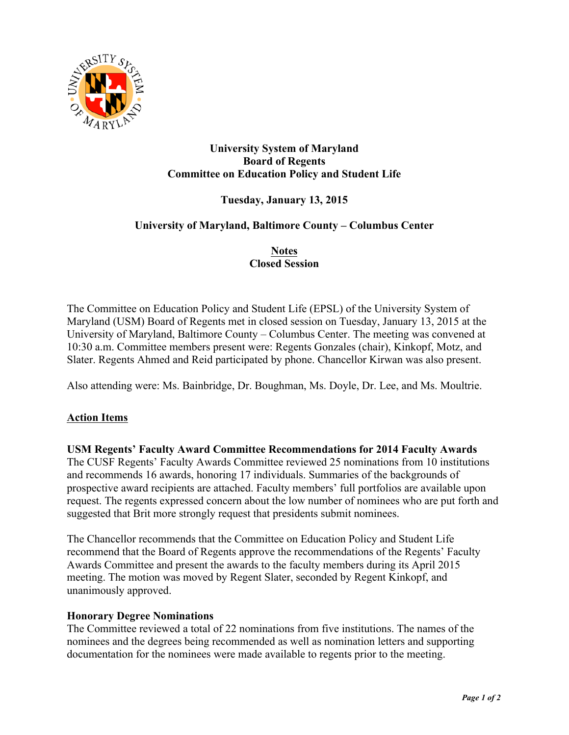

## **University System of Maryland Board of Regents Committee on Education Policy and Student Life**

# **Tuesday, January 13, 2015**

## **University of Maryland, Baltimore County – Columbus Center**

## **Notes Closed Session**

The Committee on Education Policy and Student Life (EPSL) of the University System of Maryland (USM) Board of Regents met in closed session on Tuesday, January 13, 2015 at the University of Maryland, Baltimore County – Columbus Center. The meeting was convened at 10:30 a.m. Committee members present were: Regents Gonzales (chair), Kinkopf, Motz, and Slater. Regents Ahmed and Reid participated by phone. Chancellor Kirwan was also present.

Also attending were: Ms. Bainbridge, Dr. Boughman, Ms. Doyle, Dr. Lee, and Ms. Moultrie.

# **Action Items**

**USM Regents' Faculty Award Committee Recommendations for 2014 Faculty Awards** The CUSF Regents' Faculty Awards Committee reviewed 25 nominations from 10 institutions and recommends 16 awards, honoring 17 individuals. Summaries of the backgrounds of prospective award recipients are attached. Faculty members' full portfolios are available upon request. The regents expressed concern about the low number of nominees who are put forth and suggested that Brit more strongly request that presidents submit nominees.

The Chancellor recommends that the Committee on Education Policy and Student Life recommend that the Board of Regents approve the recommendations of the Regents' Faculty Awards Committee and present the awards to the faculty members during its April 2015 meeting. The motion was moved by Regent Slater, seconded by Regent Kinkopf, and unanimously approved.

#### **Honorary Degree Nominations**

The Committee reviewed a total of 22 nominations from five institutions. The names of the nominees and the degrees being recommended as well as nomination letters and supporting documentation for the nominees were made available to regents prior to the meeting.